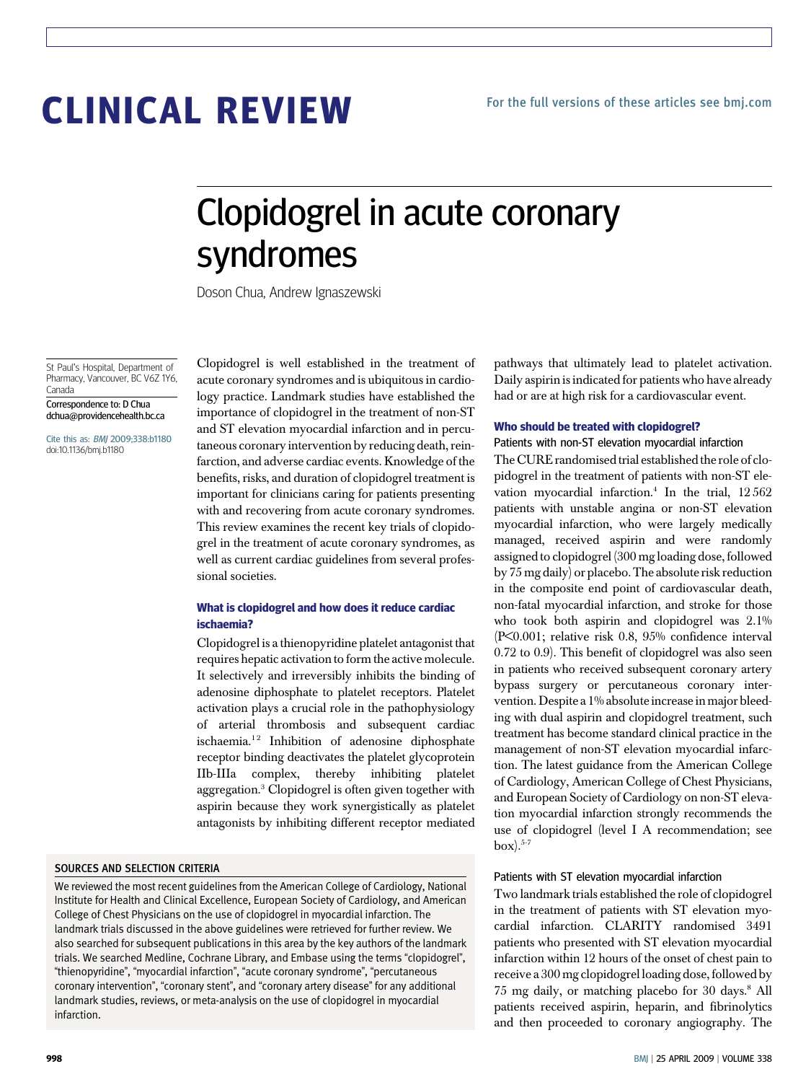# CLINICAL REVIEW

## Clopidogrel in acute coronary syndromes

Doson Chua, Andrew Ignaszewski

St Paul's Hospital, Department of Pharmacy, Vancouver, BC V6Z 1Y6, Canada

Correspondence to: D Chua dchua@providencehealth.bc.ca

Cite this as: BMJ 2009;338:b1180 doi:10.1136/bmj.b1180

Clopidogrel is well established in the treatment of acute coronary syndromes and is ubiquitous in cardiology practice. Landmark studies have established the importance of clopidogrel in the treatment of non-ST and ST elevation myocardial infarction and in percutaneous coronary intervention by reducing death, reinfarction, and adverse cardiac events. Knowledge of the benefits, risks, and duration of clopidogrel treatment is important for clinicians caring for patients presenting with and recovering from acute coronary syndromes. This review examines the recent key trials of clopidogrel in the treatment of acute coronary syndromes, as well as current cardiac guidelines from several professional societies.

#### What is clopidogrel and how does it reduce cardiac ischaemia?

Clopidogrel is a thienopyridine platelet antagonist that requires hepatic activation to form the active molecule. It selectively and irreversibly inhibits the binding of adenosine diphosphate to platelet receptors. Platelet activation plays a crucial role in the pathophysiology of arterial thrombosis and subsequent cardiac ischaemia.<sup>12</sup> Inhibition of adenosine diphosphate receptor binding deactivates the platelet glycoprotein IIb-IIIa complex, thereby inhibiting platelet aggregation.3 Clopidogrel is often given together with aspirin because they work synergistically as platelet antagonists by inhibiting different receptor mediated

#### SOURCES AND SELECTION CRITERIA

We reviewed the most recent guidelines from the American College of Cardiology, National Institute for Health and Clinical Excellence, European Society of Cardiology, and American College of Chest Physicians on the use of clopidogrel in myocardial infarction. The landmark trials discussed in the above guidelines were retrieved for further review. We also searched for subsequent publications in this area by the key authors of the landmark trials. We searched Medline, Cochrane Library, and Embase using the terms "clopidogrel", "thienopyridine", "myocardial infarction", "acute coronary syndrome", "percutaneous coronary intervention", "coronary stent", and "coronary artery disease" for any additional landmark studies, reviews, or meta-analysis on the use of clopidogrel in myocardial infarction.

pathways that ultimately lead to platelet activation. Daily aspirin is indicated for patients who have already had or are at high risk for a cardiovascular event.

#### Who should be treated with clopidogrel?

Patients with non-ST elevation myocardial infarction The CURE randomised trial established the role of clopidogrel in the treatment of patients with non-ST elevation myocardial infarction.<sup>4</sup> In the trial,  $12\,562$ patients with unstable angina or non-ST elevation myocardial infarction, who were largely medically managed, received aspirin and were randomly assigned to clopidogrel (300 mg loading dose, followed by 75 mg daily) or placebo. The absolute risk reduction in the composite end point of cardiovascular death, non-fatal myocardial infarction, and stroke for those who took both aspirin and clopidogrel was 2.1% (P<0.001; relative risk 0.8, 95% confidence interval 0.72 to 0.9). This benefit of clopidogrel was also seen in patients who received subsequent coronary artery bypass surgery or percutaneous coronary intervention. Despite a 1% absolute increase in major bleeding with dual aspirin and clopidogrel treatment, such treatment has become standard clinical practice in the management of non-ST elevation myocardial infarction. The latest guidance from the American College of Cardiology, American College of Chest Physicians, and European Society of Cardiology on non-ST elevation myocardial infarction strongly recommends the use of clopidogrel (level I A recommendation; see  $box).$ <sup>5-7</sup>

#### Patients with ST elevation myocardial infarction

Two landmark trials established the role of clopidogrel in the treatment of patients with ST elevation myocardial infarction. CLARITY randomised 3491 patients who presented with ST elevation myocardial infarction within 12 hours of the onset of chest pain to receive a 300 mg clopidogrel loading dose, followed by 75 mg daily, or matching placebo for 30 days.8 All patients received aspirin, heparin, and fibrinolytics and then proceeded to coronary angiography. The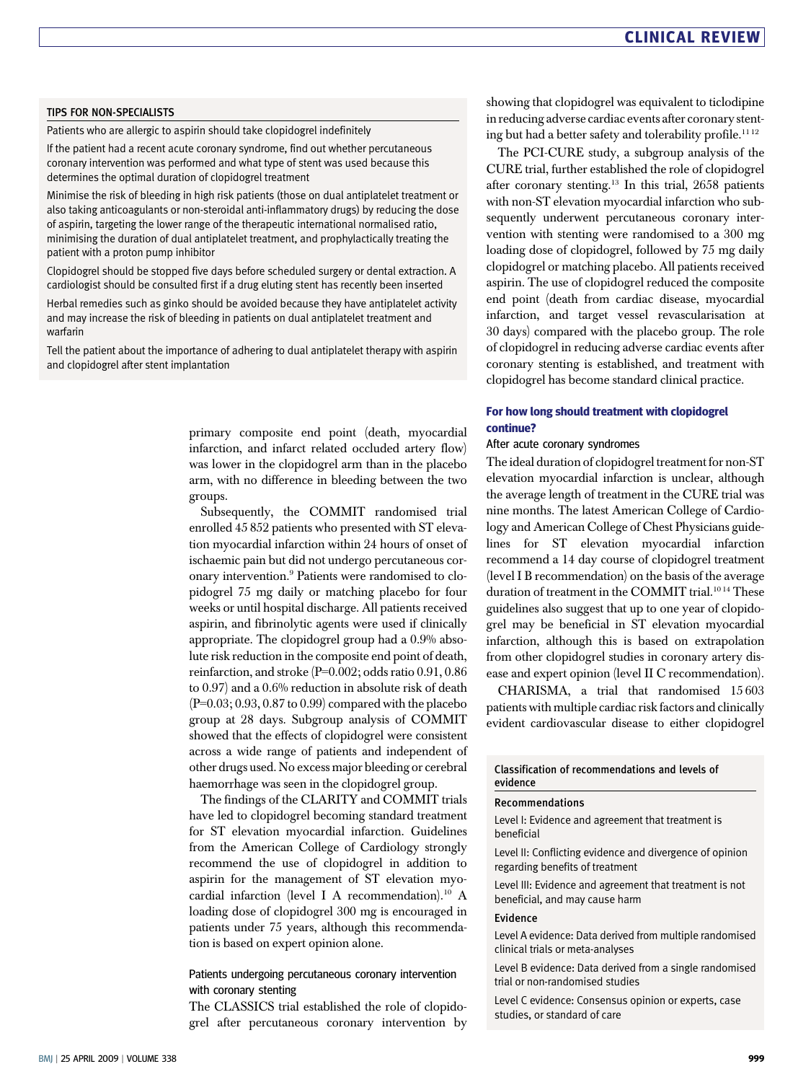#### TIPS FOR NON-SPECIALISTS

Patients who are allergic to aspirin should take clopidogrel indefinitely

If the patient had a recent acute coronary syndrome, find out whether percutaneous coronary intervention was performed and what type of stent was used because this determines the optimal duration of clopidogrel treatment

Minimise the risk of bleeding in high risk patients (those on dual antiplatelet treatment or also taking anticoagulants or non-steroidal anti-inflammatory drugs) by reducing the dose of aspirin, targeting the lower range of the therapeutic international normalised ratio, minimising the duration of dual antiplatelet treatment, and prophylactically treating the patient with a proton pump inhibitor

Clopidogrel should be stopped five days before scheduled surgery or dental extraction. A cardiologist should be consulted first if a drug eluting stent has recently been inserted

Herbal remedies such as ginko should be avoided because they have antiplatelet activity and may increase the risk of bleeding in patients on dual antiplatelet treatment and warfarin

Tell the patient about the importance of adhering to dual antiplatelet therapy with aspirin and clopidogrel after stent implantation

> primary composite end point (death, myocardial infarction, and infarct related occluded artery flow) was lower in the clopidogrel arm than in the placebo arm, with no difference in bleeding between the two groups.

> Subsequently, the COMMIT randomised trial enrolled 45 852 patients who presented with ST elevation myocardial infarction within 24 hours of onset of ischaemic pain but did not undergo percutaneous coronary intervention.9 Patients were randomised to clopidogrel 75 mg daily or matching placebo for four weeks or until hospital discharge. All patients received aspirin, and fibrinolytic agents were used if clinically appropriate. The clopidogrel group had a 0.9% absolute risk reduction in the composite end point of death, reinfarction, and stroke (P=0.002; odds ratio 0.91, 0.86 to 0.97) and a 0.6% reduction in absolute risk of death (P=0.03; 0.93, 0.87 to 0.99) compared with the placebo group at 28 days. Subgroup analysis of COMMIT showed that the effects of clopidogrel were consistent across a wide range of patients and independent of other drugs used. No excess major bleeding or cerebral haemorrhage was seen in the clopidogrel group.

> The findings of the CLARITY and COMMIT trials have led to clopidogrel becoming standard treatment for ST elevation myocardial infarction. Guidelines from the American College of Cardiology strongly recommend the use of clopidogrel in addition to aspirin for the management of ST elevation myocardial infarction (level I A recommendation).<sup>10</sup> A loading dose of clopidogrel 300 mg is encouraged in patients under 75 years, although this recommendation is based on expert opinion alone.

#### Patients undergoing percutaneous coronary intervention with coronary stenting

The CLASSICS trial established the role of clopidogrel after percutaneous coronary intervention by showing that clopidogrel was equivalent to ticlodipine in reducing adverse cardiac events after coronary stenting but had a better safety and tolerability profile.<sup>1112</sup>

The PCI-CURE study, a subgroup analysis of the CURE trial, further established the role of clopidogrel after coronary stenting.<sup>13</sup> In this trial,  $2658$  patients with non-ST elevation myocardial infarction who subsequently underwent percutaneous coronary intervention with stenting were randomised to a 300 mg loading dose of clopidogrel, followed by 75 mg daily clopidogrel or matching placebo. All patients received aspirin. The use of clopidogrel reduced the composite end point (death from cardiac disease, myocardial infarction, and target vessel revascularisation at 30 days) compared with the placebo group. The role of clopidogrel in reducing adverse cardiac events after coronary stenting is established, and treatment with clopidogrel has become standard clinical practice.

#### For how long should treatment with clopidogrel continue?

#### After acute coronary syndromes

The ideal duration of clopidogrel treatment for non-ST elevation myocardial infarction is unclear, although the average length of treatment in the CURE trial was nine months. The latest American College of Cardiology and American College of Chest Physicians guidelines for ST elevation myocardial infarction recommend a 14 day course of clopidogrel treatment (level I B recommendation) on the basis of the average duration of treatment in the COMMIT trial.<sup>1014</sup> These guidelines also suggest that up to one year of clopidogrel may be beneficial in ST elevation myocardial infarction, although this is based on extrapolation from other clopidogrel studies in coronary artery disease and expert opinion (level II C recommendation).

CHARISMA, a trial that randomised 15 603 patients with multiple cardiac risk factors and clinically evident cardiovascular disease to either clopidogrel

#### Classification of recommendations and levels of evidence

#### Recommendations

Level I: Evidence and agreement that treatment is beneficial

Level II: Conflicting evidence and divergence of opinion regarding benefits of treatment

Level III: Evidence and agreement that treatment is not beneficial, and may cause harm

#### Evidence

Level A evidence: Data derived from multiple randomised clinical trials or meta-analyses

Level B evidence: Data derived from a single randomised trial or non-randomised studies

Level C evidence: Consensus opinion or experts, case studies, or standard of care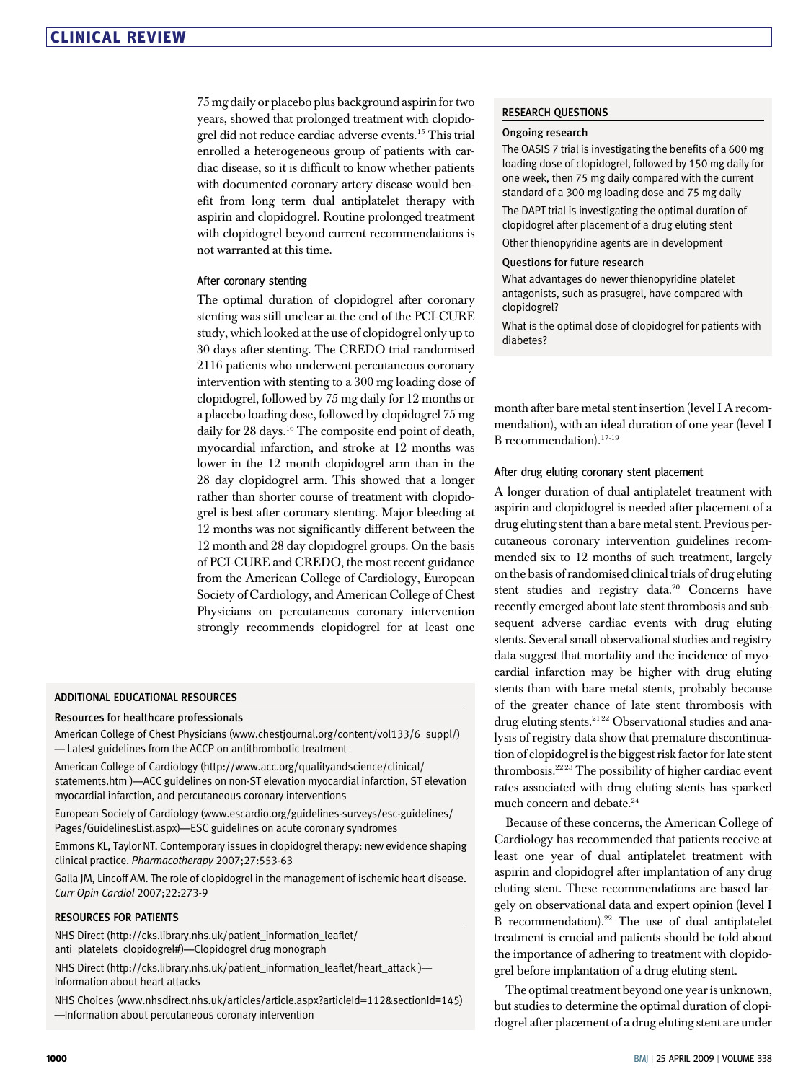75 mg daily or placebo plus background aspirin for two years, showed that prolonged treatment with clopidogrel did not reduce cardiac adverse events.15 This trial enrolled a heterogeneous group of patients with cardiac disease, so it is difficult to know whether patients with documented coronary artery disease would benefit from long term dual antiplatelet therapy with aspirin and clopidogrel. Routine prolonged treatment with clopidogrel beyond current recommendations is not warranted at this time.

#### After coronary stenting

The optimal duration of clopidogrel after coronary stenting was still unclear at the end of the PCI-CURE study, which looked at the use of clopidogrel only up to 30 days after stenting. The CREDO trial randomised 2116 patients who underwent percutaneous coronary intervention with stenting to a 300 mg loading dose of clopidogrel, followed by 75 mg daily for 12 months or a placebo loading dose, followed by clopidogrel 75 mg daily for 28 days.<sup>16</sup> The composite end point of death, myocardial infarction, and stroke at 12 months was lower in the 12 month clopidogrel arm than in the 28 day clopidogrel arm. This showed that a longer rather than shorter course of treatment with clopidogrel is best after coronary stenting. Major bleeding at 12 months was not significantly different between the 12 month and 28 day clopidogrel groups. On the basis of PCI-CURE and CREDO, the most recent guidance from the American College of Cardiology, European Society of Cardiology, and American College of Chest Physicians on percutaneous coronary intervention strongly recommends clopidogrel for at least one

#### ADDITIONAL EDUCATIONAL RESOURCES

#### Resources for healthcare professionals

American College of Chest Physicians (www.chestjournal.org/content/vol133/6\_suppl/) — Latest guidelines from the ACCP on antithrombotic treatment

American College of Cardiology (http://www.acc.org/qualityandscience/clinical/ statements.htm )—ACC guidelines on non-ST elevation myocardial infarction, ST elevation myocardial infarction, and percutaneous coronary interventions

European Society of Cardiology (www.escardio.org/guidelines-surveys/esc-guidelines/ Pages/GuidelinesList.aspx)—ESC guidelines on acute coronary syndromes

Emmons KL, Taylor NT. Contemporary issues in clopidogrel therapy: new evidence shaping clinical practice. Pharmacotherapy 2007;27:553-63

Galla JM, Lincoff AM. The role of clopidogrel in the management of ischemic heart disease. Curr Opin Cardiol 2007;22:273-9

#### RESOURCES FOR PATIENTS

NHS Direct (http://cks.library.nhs.uk/patient\_information\_leaflet/ anti\_platelets\_clopidogrel#)—Clopidogrel drug monograph

NHS Direct (http://cks.library.nhs.uk/patient\_information\_leaflet/heart\_attack )— Information about heart attacks

NHS Choices (www.nhsdirect.nhs.uk/articles/article.aspx?articleId=112&sectionId=145) —Information about percutaneous coronary intervention

#### RESEARCH QUESTIONS

#### Ongoing research

The OASIS 7 trial is investigating the benefits of a 600 mg loading dose of clopidogrel, followed by 150 mg daily for one week, then 75 mg daily compared with the current standard of a 300 mg loading dose and 75 mg daily

The DAPT trial is investigating the optimal duration of clopidogrel after placement of a drug eluting stent

Other thienopyridine agents are in development

#### Questions for future research

What advantages do newer thienopyridine platelet antagonists, such as prasugrel, have compared with clopidogrel?

What is the optimal dose of clopidogrel for patients with diabetes?

month after bare metal stent insertion (level I A recommendation), with an ideal duration of one year (level I B recommendation).17-19

#### After drug eluting coronary stent placement

A longer duration of dual antiplatelet treatment with aspirin and clopidogrel is needed after placement of a drug eluting stent than a bare metal stent. Previous percutaneous coronary intervention guidelines recommended six to 12 months of such treatment, largely on the basis of randomised clinical trials of drug eluting stent studies and registry data.<sup>20</sup> Concerns have recently emerged about late stent thrombosis and subsequent adverse cardiac events with drug eluting stents. Several small observational studies and registry data suggest that mortality and the incidence of myocardial infarction may be higher with drug eluting stents than with bare metal stents, probably because of the greater chance of late stent thrombosis with drug eluting stents.<sup>2122</sup> Observational studies and analysis of registry data show that premature discontinuation of clopidogrel is the biggest risk factor for late stent thrombosis.22 23 The possibility of higher cardiac event rates associated with drug eluting stents has sparked much concern and debate.24

Because of these concerns, the American College of Cardiology has recommended that patients receive at least one year of dual antiplatelet treatment with aspirin and clopidogrel after implantation of any drug eluting stent. These recommendations are based largely on observational data and expert opinion (level I B recommendation).22 The use of dual antiplatelet treatment is crucial and patients should be told about the importance of adhering to treatment with clopidogrel before implantation of a drug eluting stent.

The optimal treatment beyond one year is unknown, but studies to determine the optimal duration of clopidogrel after placement of a drug eluting stent are under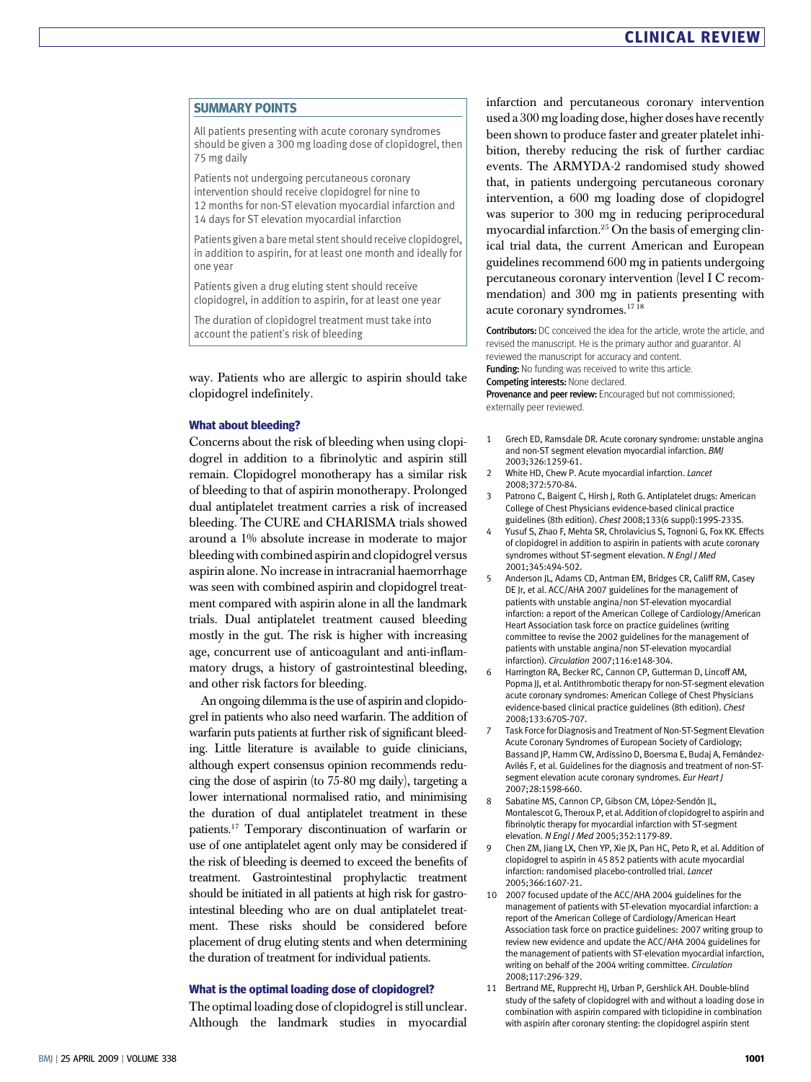#### SUMMARY POINTS

All patients presenting with acute coronary syndromes should be given a 300 mg loading dose of clopidogrel, then 75 mg daily

Patients not undergoing percutaneous coronary intervention should receive clopidogrel for nine to 12 months for non-ST elevation myocardial infarction and 14 days for ST elevation myocardial infarction

Patients given a bare metal stent should receive clopidogrel, in addition to aspirin, for at least one month and ideally for one year

Patients given a drug eluting stent should receive clopidogrel, in addition to aspirin, for at least one year

The duration of clopidogrel treatment must take into account the patient's risk of bleeding

way. Patients who are allergic to aspirin should take clopidogrel indefinitely.

#### What about bleeding?

Concerns about the risk of bleeding when using clopidogrel in addition to a fibrinolytic and aspirin still remain. Clopidogrel monotherapy has a similar risk of bleeding to that of aspirin monotherapy. Prolonged dual antiplatelet treatment carries a risk of increased bleeding. The CURE and CHARISMA trials showed around a 1% absolute increase in moderate to major bleeding with combined aspirin and clopidogrel versus aspirin alone. No increase in intracranial haemorrhage was seen with combined aspirin and clopidogrel treatment compared with aspirin alone in all the landmark trials. Dual antiplatelet treatment caused bleeding mostly in the gut. The risk is higher with increasing age, concurrent use of anticoagulant and anti-inflammatory drugs, a history of gastrointestinal bleeding, and other risk factors for bleeding.

An ongoing dilemma is the use of aspirin and clopidogrel in patients who also need warfarin. The addition of warfarin puts patients at further risk of significant bleeding. Little literature is available to guide clinicians, although expert consensus opinion recommends reducing the dose of aspirin (to 75-80 mg daily), targeting a lower international normalised ratio, and minimising the duration of dual antiplatelet treatment in these patients.17 Temporary discontinuation of warfarin or use of one antiplatelet agent only may be considered if the risk of bleeding is deemed to exceed the benefits of treatment. Gastrointestinal prophylactic treatment should be initiated in all patients at high risk for gastrointestinal bleeding who are on dual antiplatelet treatment. These risks should be considered before placement of drug eluting stents and when determining the duration of treatment for individual patients.

#### What is the optimal loading dose of clopidogrel?

The optimal loading dose of clopidogrel is still unclear. Although the landmark studies in myocardial infarction and percutaneous coronary intervention used a 300 mg loading dose, higher doses have recently been shown to produce faster and greater platelet inhibition, thereby reducing the risk of further cardiac events. The ARMYDA-2 randomised study showed that, in patients undergoing percutaneous coronary intervention, a 600 mg loading dose of clopidogrel was superior to 300 mg in reducing periprocedural myocardial infarction. $25$  On the basis of emerging clinical trial data, the current American and European guidelines recommend 600 mg in patients undergoing percutaneous coronary intervention (level I C recommendation) and 300 mg in patients presenting with acute coronary syndromes.17 18

Contributors: DC conceived the idea for the article, wrote the article, and revised the manuscript. He is the primary author and guarantor. AI reviewed the manuscript for accuracy and content. Funding: No funding was received to write this article. Competing interests: None declared.

Provenance and peer review: Encouraged but not commissioned;

externally peer reviewed.

- 1 Grech ED, Ramsdale DR. Acute coronary syndrome: unstable angina and non-ST segment elevation myocardial infarction. BMJ 2003;326:1259-61.
- 2 White HD, Chew P. Acute myocardial infarction. Lancet 2008;372:570-84.
- 3 Patrono C, Baigent C, Hirsh J, Roth G. Antiplatelet drugs: American College of Chest Physicians evidence-based clinical practice guidelines (8th edition). Chest 2008;133(6 suppl):199S-233S.
- Yusuf S, Zhao F, Mehta SR, Chrolavicius S, Tognoni G, Fox KK. Effects of clopidogrel in addition to aspirin in patients with acute coronary syndromes without ST-segment elevation. N Engl J Med 2001;345:494-502.
- 5 Anderson IL, Adams CD, Antman FM, Bridges CR, Califf RM, Casey DE Jr, et al. ACC/AHA 2007 guidelines for the management of patients with unstable angina/non ST-elevation myocardial infarction: a report of the American College of Cardiology/American Heart Association task force on practice guidelines (writing committee to revise the 2002 guidelines for the management of patients with unstable angina/non ST-elevation myocardial infarction). Circulation 2007;116:e148-304.
- 6 Harrington RA, Becker RC, Cannon CP, Gutterman D, Lincoff AM, Popma JJ, et al. Antithrombotic therapy for non-ST-segment elevation acute coronary syndromes: American College of Chest Physicians evidence-based clinical practice guidelines (8th edition). Chest 2008;133:670S-707.
- 7 Task Force for Diagnosis and Treatment of Non-ST-Segment Elevation Acute Coronary Syndromes of European Society of Cardiology; Bassand JP, Hamm CW, Ardissino D, Boersma E, Budaj A, Fernández-Avilés F, et al. Guidelines for the diagnosis and treatment of non-STsegment elevation acute coronary syndromes. Eur Heart J 2007;28:1598-660.
- Sabatine MS, Cannon CP, Gibson CM, López-Sendón JL, Montalescot G, Theroux P, et al. Addition of clopidogrel to aspirin and fibrinolytic therapy for myocardial infarction with ST-segment elevation. N Engl J Med 2005;352:1179-89.
- 9 Chen ZM, Jiang LX, Chen YP, Xie JX, Pan HC, Peto R, et al. Addition of clopidogrel to aspirin in 45 852 patients with acute myocardial infarction: randomised placebo-controlled trial. Lancet 2005;366:1607-21.
- 10 2007 focused update of the ACC/AHA 2004 guidelines for the management of patients with ST-elevation myocardial infarction: a report of the American College of Cardiology/American Heart Association task force on practice guidelines: 2007 writing group to review new evidence and update the ACC/AHA 2004 guidelines for the management of patients with ST-elevation myocardial infarction, writing on behalf of the 2004 writing committee. Circulation 2008;117:296-329.
- 11 Bertrand ME, Rupprecht HJ, Urban P, Gershlick AH. Double-blind study of the safety of clopidogrel with and without a loading dose in combination with aspirin compared with ticlopidine in combination with aspirin after coronary stenting: the clopidogrel aspirin stent